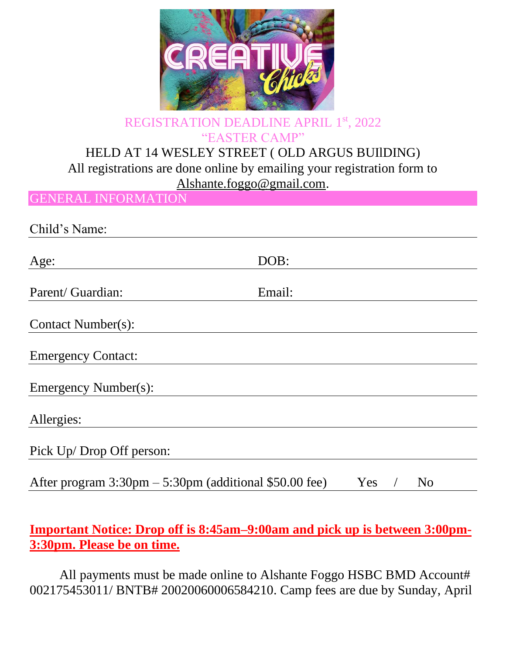

## REGISTRATION DEADLINE APRIL 1st, 2022 "EASTER CAMP"

## HELD AT 14 WESLEY STREET ( OLD ARGUS BUIlDING) All registrations are done online by emailing your registration form to

[Alshante.foggo@gmail.com.](mailto:Alshante.foggo@gmail.com)

GENERAL INFORMATION

Child's Name:

| Age:                                                                     | DOB:             |
|--------------------------------------------------------------------------|------------------|
| Parent/ Guardian:                                                        | Email:           |
| Contact Number(s):                                                       |                  |
| <b>Emergency Contact:</b>                                                |                  |
| Emergency Number(s):                                                     |                  |
| Allergies:                                                               |                  |
| Pick Up/Drop Off person:                                                 |                  |
| After program $3:30 \text{pm} - 5:30 \text{pm}$ (additional \$50.00 fee) | Yes<br><b>No</b> |

**Important Notice: Drop off is 8:45am–9:00am and pick up is between 3:00pm-3:30pm. Please be on time.**

All payments must be made online to Alshante Foggo HSBC BMD Account# 002175453011/ BNTB# 20020060006584210. Camp fees are due by Sunday, April